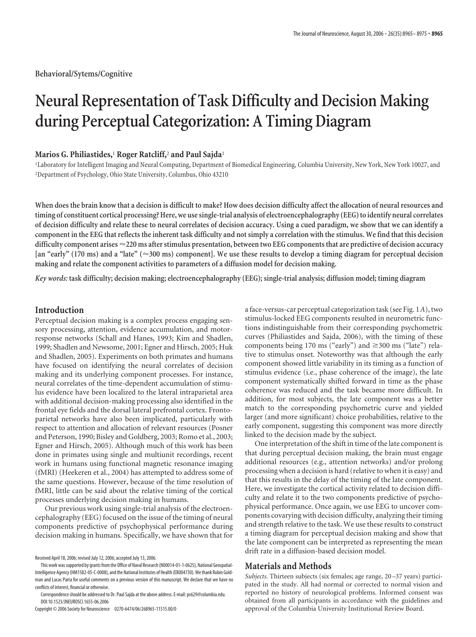**Behavioral/Sytems/Cognitive**

# **Neural Representation of Task Difficulty and Decision Making during Perceptual Categorization: A Timing Diagram**

# **Marios G. Philiastides,**<sup>1</sup> **Roger Ratcliff,**<sup>2</sup> **and Paul Sajda**<sup>1</sup>

1 Laboratory for Intelligent Imaging and Neural Computing, Department of Biomedical Engineering, Columbia University, New York, New York 10027, and 2 Department of Psychology, Ohio State University, Columbus, Ohio 43210

**When does the brain know that a decision is difficult to make? How does decision difficulty affect the allocation of neural resources and** timing of constituent cortical processing? Here, we use single-trial analysis of electroencephalography (EEG) to identify neural correlates **of decision difficulty and relate these to neural correlates of decision accuracy. Using a cued paradigm, we show that we can identify a component in the EEG that reflects the inherent task difficulty and not simply a correlation with the stimulus. We find that this decision difficulty component arises 220 ms after stimulus presentation, between two EEG components that are predictive of decision accuracy [an "early" (170 ms) and a "late" (300 ms) component]. We use these results to develop a timing diagram for perceptual decision making and relate the component activities to parameters of a diffusion model for decision making.**

*Key words:* **task difficulty; decision making; electroencephalography (EEG); single-trial analysis; diffusion model; timing diagram**

# **Introduction**

Perceptual decision making is a complex process engaging sensory processing, attention, evidence accumulation, and motorresponse networks (Schall and Hanes, 1993; Kim and Shadlen, 1999; Shadlen and Newsome, 2001; Egner and Hirsch, 2005; Huk and Shadlen, 2005). Experiments on both primates and humans have focused on identifying the neural correlates of decision making and its underlying component processes. For instance, neural correlates of the time-dependent accumulation of stimulus evidence have been localized to the lateral intraparietal area with additional decision-making processing also identified in the frontal eye fields and the dorsal lateral prefrontal cortex. Frontoparietal networks have also been implicated, particularly with respect to attention and allocation of relevant resources (Posner and Peterson, 1990; Bisley and Goldberg, 2003; Romo et al., 2003; Egner and Hirsch, 2005). Although much of this work has been done in primates using single and multiunit recordings, recent work in humans using functional magnetic resonance imaging (fMRI) (Heekeren et al., 2004) has attempted to address some of the same questions. However, because of the time resolution of fMRI, little can be said about the relative timing of the cortical processes underlying decision making in humans.

Our previous work using single-trial analysis of the electroencephalography (EEG) focused on the issue of the timing of neural components predictive of psychophysical performance during decision making in humans. Specifically, we have shown that for

Copyright © 2006 Society for Neuroscience 0270-6474/06/268965-11\$15.00/0

a face-versus-car perceptual categorization task (see Fig. 1*A*), two stimulus-locked EEG components resulted in neurometric functions indistinguishable from their corresponding psychometric curves (Philiastides and Sajda, 2006), with the timing of these components being 170 ms ("early") and  $\geq$  300 ms ("late") relative to stimulus onset. Noteworthy was that although the early component showed little variability in its timing as a function of stimulus evidence (i.e., phase coherence of the image), the late component systematically shifted forward in time as the phase coherence was reduced and the task became more difficult. In addition, for most subjects, the late component was a better match to the corresponding psychometric curve and yielded larger (and more significant) choice probabilities, relative to the early component, suggesting this component was more directly linked to the decision made by the subject.

One interpretation of the shift in time of the late component is that during perceptual decision making, the brain must engage additional resources (e.g., attention networks) and/or prolong processing when a decision is hard (relative to when it is easy) and that this results in the delay of the timing of the late component. Here, we investigate the cortical activity related to decision difficulty and relate it to the two components predictive of psychophysical performance. Once again, we use EEG to uncover components covarying with decision difficulty, analyzing their timing and strength relative to the task. We use these results to construct a timing diagram for perceptual decision making and show that the late component can be interpreted as representing the mean drift rate in a diffusion-based decision model.

## **Materials and Methods**

*Subjects*. Thirteen subjects (six females; age range, 20 –37 years) participated in the study. All had normal or corrected to normal vision and reported no history of neurological problems. Informed consent was obtained from all participants in accordance with the guidelines and approval of the Columbia University Institutional Review Board.

Received April 18, 2006; revised July 12, 2006; accepted July 13, 2006.

This work wassupported by grants from the Office of Naval Research (N00014-01-1-0625), National Geospatial-Intelligence Agency (HM1582-05-C-0008), and the National Institutes of Health (EB004730). We thank Robin Goldman and Lucas Parra for useful comments on a previous version of this manuscript. We declare that we have no conflicts of interest, financial or otherwise.

Correspondence should be addressed to Dr. Paul Sajda at the above address. E-mail: ps629@columbia.edu. DOI:10.1523/JNEUROSCI.1655-06.2006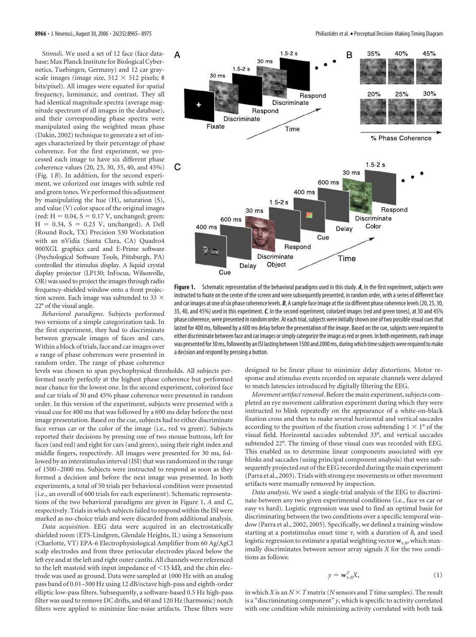*Stimuli*. We used a set of 12 face (face database; Max Planck Institute for Biological Cybernetics, Tuebingen, Germany) and 12 car grayscale images (image size,  $512 \times 512$  pixels; 8 bits/pixel). All images were equated for spatial frequency, luminance, and contrast. They all had identical magnitude spectra (average magnitude spectrum of all images in the database), and their corresponding phase spectra were manipulated using the weighted mean phase (Dakin, 2002) technique to generate a set of images characterized by their percentage of phase coherence. For the first experiment, we processed each image to have six different phase coherence values (20, 25, 30, 35, 40, and 45%) (Fig. 1*B*). In addition, for the second experiment, we colorized our images with subtle red and green tones. We performed this adjustment by manipulating the hue (H), saturation (S), and value (V) color space of the original images  $(\text{red: } H = 0.04, S = 0.17 \text{ V}, \text{unchanged; green:})$  $H = 0.34$ ,  $S = 0.23$  V, unchanged). A Dell (Round Rock, TX) Precision 530 Workstation with an nVidia (Santa Clara, CA) Quadro4 900XGL graphics card and E-Prime software (Psychological Software Tools, Pittsburgh, PA) controlled the stimulus display. A liquid crystal display projector (LP130; InFocus, Wilsonville, OR) was used to project the images through radio frequency-shielded window onto a front projection screen. Each image was subtended to 33  $\times$ 22° of the visual angle.

*Behavioral paradigms*. Subjects performed two versions of a simple categorization task. In the first experiment, they had to discriminate between grayscale images of faces and cars. Within a block of trials, face and car images over a range of phase coherences were presented in random order. The range of phase coherence

levels was chosen to span psychophysical thresholds. All subjects performed nearly perfectly at the highest phase coherence but performed near chance for the lowest one. In the second experiment, colorized face and car trials of 30 and 45% phase coherence were presented in random order. In this version of the experiment, subjects were presented with a visual cue for 400 ms that was followed by a 600 ms delay before the next image presentation. Based on the cue, subjects had to either discriminate face versus car or the color of the image (i.e., red vs green). Subjects reported their decisions by pressing one of two mouse buttons, left for faces (and red) and right for cars (and green), using their right index and middle fingers, respectively. All images were presented for 30 ms, followed by an interstimulus interval (ISI) that was randomized in the range of 1500 –2000 ms. Subjects were instructed to respond as soon as they formed a decision and before the next image was presented. In both experiments, a total of 50 trials per behavioral condition were presented (i.e., an overall of 600 trials for each experiment). Schematic representations of the two behavioral paradigms are given in Figure 1, *A* and *C*, respectively. Trials in which subjects failed to respond within the ISI were marked as no-choice trials and were discarded from additional analysis.

*Data acquisition*. EEG data were acquired in an electrostatically shielded room (ETS-Lindgren, Glendale Heights, IL) using a Sensorium (Charlotte, VT) EPA-6 Electrophysiological Amplifier from 60 Ag/AgCl scalp electrodes and from three periocular electrodes placed below the left eye and at the left and right outer canthi. All channels were referenced to the left mastoid with input impedance of  ${<}15$  k $\Omega$ , and the chin electrode was used as ground. Data were sampled at 1000 Hz with an analog pass band of 0.01–300 Hz using 12 dB/octave high-pass and eighth-order elliptic low-pass filters. Subsequently, a software-based 0.5 Hz high-pass filter was used to remove DC drifts, and 60 and 120 Hz (harmonic) notch filters were applied to minimize line-noise artifacts. These filters were



**Figure 1.** Schematic representation of the behavioral paradigms used in this study. *A*, In the first experiment, subjects were instructed to fixate on the center of the screen and were subsequently presented, in random order, with a series of different face and car images at one of six phase coherence levels. **B**, A sample face image at the six different phase coherence levels (20, 25, 30, 35, 40, and 45%) used in this experiment.*C*, In the second experiment, colorized images (red and green tones), at 30 and 45% phase coherence, were presented in random order. At each trial, subjects were initially shown one of two possible visual cues that lasted for 400 ms, followed by a 600 ms delay before the presentation of the image. Based on the cue, subjects were required to either discriminate between face and car images orsimply categorize the image as red or green. In both experiments, each image was presented for 30 ms, followed by an ISI lasting between 1500 and 2000 ms, during which time subjects were required to make a decision and respond by pressing a button.

designed to be linear phase to minimize delay distortions. Motor response and stimulus events recorded on separate channels were delayed to match latencies introduced by digitally filtering the EEG.

*Movement artifact removal*. Before the main experiment, subjects completed an eye movement calibration experiment during which they were instructed to blink repeatedly on the appearance of a white-on-black fixation cross and then to make several horizontal and vertical saccades according to the position of the fixation cross subtending  $1 \times 1^{\circ}$  of the visual field. Horizontal saccades subtended 33°, and vertical saccades subtended 22°. The timing of these visual cues was recorded with EEG. This enabled us to determine linear components associated with eye blinks and saccades (using principal component analysis) that were subsequently projected out of the EEG recorded during the main experiment (Parra et al., 2003). Trials with strong eye movements or other movement artifacts were manually removed by inspection.

*Data analysis*. We used a single-trial analysis of the EEG to discriminate between any two given experimental conditions (i.e., face vs car or easy vs hard). Logistic regression was used to find an optimal basis for discriminating between the two conditions over a specific temporal window (Parra et al., 2002, 2005). Specifically, we defined a training window starting at a poststimulus onset time  $\tau$ , with a duration of  $\delta$ , and used logistic regression to estimate a spatial weighting vector  $\mathbf{w}_{\tau,\delta}$ , which maximally discriminates between sensor array signals *X* for the two conditions as follows:

$$
y = \mathbf{w}_{\tau,\delta}^T X,\tag{1}
$$

in which *X* is an  $N \times T$  matrix (*N* sensors and *T* time samples). The result is a "discriminating component" *y*, which is specific to activity correlated with one condition while minimizing activity correlated with both task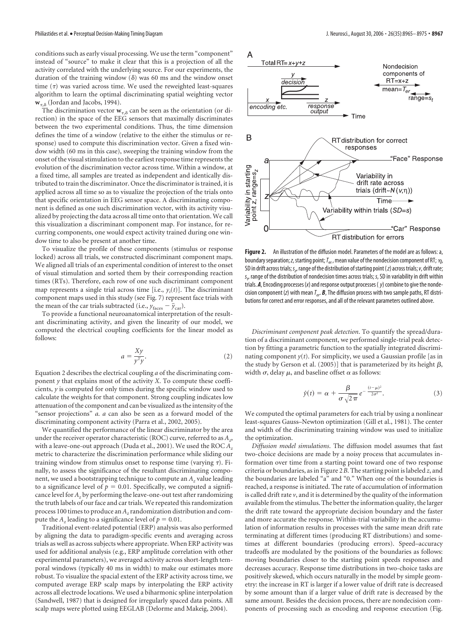conditions such as early visual processing. We use the term "component" instead of "source" to make it clear that this is a projection of all the activity correlated with the underlying source. For our experiments, the duration of the training window  $(\delta)$  was 60 ms and the window onset time  $(\tau)$  was varied across time. We used the reweighted least-squares algorithm to learn the optimal discriminating spatial weighting vector **w**-, (Jordan and Jacobs, 1994).

The discrimination vector  $w_{\tau,\delta}$  can be seen as the orientation (or direction) in the space of the EEG sensors that maximally discriminates between the two experimental conditions. Thus, the time dimension defines the time of a window (relative to the either the stimulus or response) used to compute this discrimination vector. Given a fixed window width (60 ms in this case), sweeping the training window from the onset of the visual stimulation to the earliest response time represents the evolution of the discrimination vector across time. Within a window, at a fixed time, all samples are treated as independent and identically distributed to train the discriminator. Once the discriminator is trained, it is applied across all time so as to visualize the projection of the trials onto that specific orientation in EEG sensor space. A discriminating component is defined as one such discrimination vector, with its activity visualized by projecting the data across all time onto that orientation. We call this visualization a discriminant component map. For instance, for recurring components, one would expect activity trained during one window time to also be present at another time.

To visualize the profile of these components (stimulus or response locked) across all trials, we constructed discriminant component maps. We aligned all trials of an experimental condition of interest to the onset of visual stimulation and sorted them by their corresponding reaction times (RTs). Therefore, each row of one such discriminant component map represents a single trial across time [i.e., *yi* (*t*)]. The discriminant component maps used in this study (see Fig. 7) represent face trials with the mean of the car trials subtracted (i.e.,  $y_{\text{faces}} - \bar{y}_{\text{car}}$ ).

To provide a functional neuroanatomical interpretation of the resultant discriminating activity, and given the linearity of our model, we computed the electrical coupling coefficients for the linear model as follows:

$$
a = \frac{Xy}{y^T y}.\tag{2}
$$

Equation 2 describes the electrical coupling *a* of the discriminating component *y* that explains most of the activity *X*. To compute these coefficients, *y* is computed for only times during the specific window used to calculate the weights for that component. Strong coupling indicates low attenuation of the component and can be visualized as the intensity of the "sensor projections" *a*. *a* can also be seen as a forward model of the discriminating component activity (Parra et al., 2002, 2005).

We quantified the performance of the linear discriminator by the area under the receiver operator characteristic (ROC) curve, referred to as *Az*, with a leave-one-out approach (Duda et al., 2001). We used the ROC *Az* metric to characterize the discrimination performance while sliding our training window from stimulus onset to response time (varying  $\tau$ ). Finally, to assess the significance of the resultant discriminating component, we used a bootstrapping technique to compute an  $A<sub>x</sub>$  value leading to a significance level of  $p = 0.01$ . Specifically, we computed a significance level for *Az* by performing the leave-one-out test after randomizing the truth labels of our face and car trials. We repeated this randomization process 100 times to produce an*Az* randomization distribution and compute the  $A_z$  leading to a significance level of  $p = 0.01$ .

Traditional event-related potential (ERP) analysis was also performed by aligning the data to paradigm-specific events and averaging across trials as well as across subjects where appropriate. When ERP activity was used for additional analysis (e.g., ERP amplitude correlation with other experimental parameters), we averaged activity across short-length temporal windows (typically 40 ms in width) to make our estimates more robust. To visualize the spacial extent of the ERP activity across time, we computed average ERP scalp maps by interpolating the ERP activity across all electrode locations. We used a biharmonic spline interpolation (Sandwell, 1987) that is designed for irregularly spaced data points. All scalp maps were plotted using EEGLAB (Delorme and Makeig, 2004).



Figure 2. An illustration of the diffusion model. Parameters of the model are as follows: a, boundary separation; *z*, starting point;  $T_{er}$ , mean value of the nondecision component of RT;  $\eta$ , SD in drift acrosstrials;*sz* , range ofthe distribution ofstarting point(*z*) acrosstrials;*v*, drift rate; *st* , range of the distribution of nondecision times across trials; *s*, SD in variability in drift within trials. *A*, Encoding processes (*x*) and response output processes ( *y*) combine to give the nondecision component (*z*) with mean *T<sub>er</sub>*. *B*, The diffusion process with two sample paths, RT distributions for correct and error responses, and all of the relevant parameters outlined above.

*Discriminant component peak detection*. To quantify the spread/duration of a discriminant component, we performed single-trial peak detection by fitting a parametric function to the spatially integrated discriminating component  $y(t)$ . For simplicity, we used a Gaussian profile [as in the study by Gerson et al. (2005)] that is parameterized by its height  $\beta$ , width  $\sigma$ , delay  $\mu$ , and baseline offset  $\alpha$  as follows:

$$
\hat{y}(t) = \alpha + \frac{\beta}{\sigma\sqrt{2\pi}}e^{-\frac{(t-\mu)^2}{2\sigma^2}}.
$$
\n(3)

We computed the optimal parameters for each trial by using a nonlinear least-squares Gauss–Newton optimization (Gill et al., 1981). The center and width of the discriminating training window was used to initialize the optimization.

*Diffusion model simulations*. The diffusion model assumes that fast two-choice decisions are made by a noisy process that accumulates information over time from a starting point toward one of two response criteria or boundaries, as in Figure 2*B*. The starting point is labeled *z*, and the boundaries are labeled "a" and "0." When one of the boundaries is reached, a response is initiated. The rate of accumulation of information is called drift rate *v*, and it is determined by the quality of the information available from the stimulus. The better the information quality, the larger the drift rate toward the appropriate decision boundary and the faster and more accurate the response. Within-trial variability in the accumulation of information results in processes with the same mean drift rate terminating at different times (producing RT distributions) and sometimes at different boundaries (producing errors). Speed–accuracy tradeoffs are modulated by the positions of the boundaries as follows: moving boundaries closer to the starting point speeds responses and decreases accuracy. Response time distributions in two-choice tasks are positively skewed, which occurs naturally in the model by simple geometry: the increase in RT is larger if a lower value of drift rate is decreased by some amount than if a larger value of drift rate is decreased by the same amount. Besides the decision process, there are nondecision components of processing such as encoding and response execution (Fig.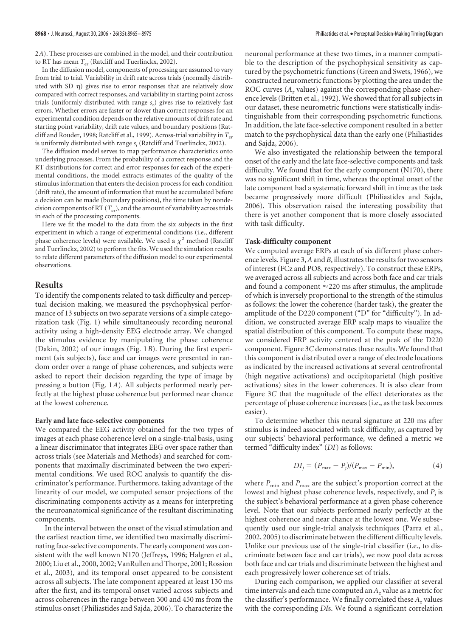2*A*). These processes are combined in the model, and their contribution to RT has mean  $T_{er}$  (Ratcliff and Tuerlinckx, 2002).

In the diffusion model, components of processing are assumed to vary from trial to trial. Variability in drift rate across trials (normally distributed with SD  $\eta$ ) gives rise to error responses that are relatively slow compared with correct responses, and variability in starting point across trials (uniformly distributed with range  $s_z$ ) gives rise to relatively fast errors. Whether errors are faster or slower than correct responses for an experimental condition depends on the relative amounts of drift rate and starting point variability, drift rate values, and boundary positions (Ratcliff and Rouder, 1998; Ratcliff et al., 1999). Across-trial variability in  $T_{\text{er}}$ is uniformly distributed with range  $s_t$  (Ratcliff and Tuerlinckx, 2002).

The diffusion model serves to map performance characteristics onto underlying processes. From the probability of a correct response and the RT distributions for correct and error responses for each of the experimental conditions, the model extracts estimates of the quality of the stimulus information that enters the decision process for each condition (drift rate), the amount of information that must be accumulated before a decision can be made (boundary positions), the time taken by nondecision components of RT  $(T_{\text{er}})$ , and the amount of variability across trials in each of the processing components.

Here we fit the model to the data from the six subjects in the first experiment in which a range of experimental conditions (i.e., different phase coherence levels) were available. We used a  $\chi^2$  method (Ratcliff and Tuerlinckx, 2002) to perform the fits. We used the simulation results to relate different parameters of the diffusion model to our experimental observations.

# **Results**

To identify the components related to task difficulty and perceptual decision making, we measured the psychophysical performance of 13 subjects on two separate versions of a simple categorization task (Fig. 1) while simultaneously recording neuronal activity using a high-density EEG electrode array. We changed the stimulus evidence by manipulating the phase coherence (Dakin, 2002) of our images (Fig. 1*B*). During the first experiment (six subjects), face and car images were presented in random order over a range of phase coherences, and subjects were asked to report their decision regarding the type of image by pressing a button (Fig. 1*A*). All subjects performed nearly perfectly at the highest phase coherence but performed near chance at the lowest coherence.

#### **Early and late face-selective components**

We compared the EEG activity obtained for the two types of images at each phase coherence level on a single-trial basis, using a linear discriminator that integrates EEG over space rather than across trials (see Materials and Methods) and searched for components that maximally discriminated between the two experimental conditions. We used ROC analysis to quantify the discriminator's performance. Furthermore, taking advantage of the linearity of our model, we computed sensor projections of the discriminating components activity as a means for interpreting the neuroanatomical significance of the resultant discriminating components.

In the interval between the onset of the visual stimulation and the earliest reaction time, we identified two maximally discriminating face-selective components. The early component was consistent with the well known N170 (Jeffreys, 1996; Halgren et al., 2000; Liu et al., 2000, 2002; VanRullen and Thorpe, 2001; Rossion et al., 2003), and its temporal onset appeared to be consistent across all subjects. The late component appeared at least 130 ms after the first, and its temporal onset varied across subjects and across coherences in the range between 300 and 450 ms from the stimulus onset (Philiastides and Sajda, 2006). To characterize the

neuronal performance at these two times, in a manner compatible to the description of the psychophysical sensitivity as captured by the psychometric functions (Green and Swets, 1966), we constructed neurometric functions by plotting the area under the ROC curves  $(A<sub>z</sub>$  values) against the corresponding phase coherence levels (Britten et al., 1992). We showed that for all subjects in our dataset, these neurometric functions were statistically indistinguishable from their corresponding psychometric functions. In addition, the late face-selective component resulted in a better match to the psychophysical data than the early one (Philiastides and Sajda, 2006).

We also investigated the relationship between the temporal onset of the early and the late face-selective components and task difficulty. We found that for the early component (N170), there was no significant shift in time, whereas the optimal onset of the late component had a systematic forward shift in time as the task became progressively more difficult (Philiastides and Sajda, 2006). This observation raised the interesting possibility that there is yet another component that is more closely associated with task difficulty.

#### **Task-difficulty component**

We computed average ERPs at each of six different phase coherence levels. Figure 3,*A*and *B*, illustrates the results for two sensors of interest (FCz and PO8, respectively). To construct these ERPs, we averaged across all subjects and across both face and car trials and found a component  $\approx$  220 ms after stimulus, the amplitude of which is inversely proportional to the strength of the stimulus as follows: the lower the coherence (harder task), the greater the amplitude of the D220 component ("D" for "difficulty"). In addition, we constructed average ERP scalp maps to visualize the spatial distribution of this component. To compute these maps, we considered ERP activity centered at the peak of the D220 component. Figure 3*C* demonstrates these results. We found that this component is distributed over a range of electrode locations as indicated by the increased activations at several centrofrontal (high negative activations) and occipitoparietal (high positive activations) sites in the lower coherences. It is also clear from Figure 3*C* that the magnitude of the effect deteriorates as the percentage of phase coherence increases (i.e., as the task becomes easier).

To determine whether this neural signature at 220 ms after stimulus is indeed associated with task difficulty, as captured by our subjects' behavioral performance, we defined a metric we termed "difficulty index" (*DI*) as follows:

$$
DI_j = (P_{\text{max}} - P_j)/(P_{\text{max}} - P_{\text{min}}),
$$
 (4)

where  $P_{\text{min}}$  and  $P_{\text{max}}$  are the subject's proportion correct at the lowest and highest phase coherence levels, respectively, and *Pj* is the subject's behavioral performance at a given phase coherence level. Note that our subjects performed nearly perfectly at the highest coherence and near chance at the lowest one. We subsequently used our single-trial analysis techniques (Parra et al., 2002, 2005) to discriminate between the different difficulty levels. Unlike our previous use of the single-trial classifier (i.e., to discriminate between face and car trials), we now pool data across both face and car trials and discriminate between the highest and each progressively lower coherence set of trials.

During each comparison, we applied our classifier at several time intervals and each time computed an *Az* value as a metric for the classifier's performance. We finally correlated these  $A<sub>z</sub>$  values with the corresponding *DI*s. We found a significant correlation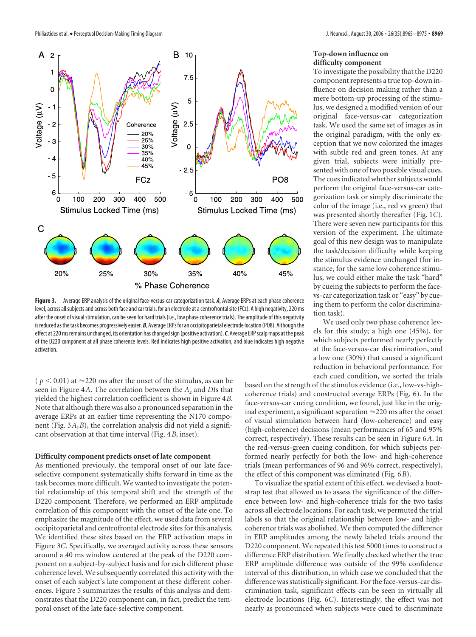

**Figure 3.** Average ERP analysis of the original face-versus-car categorization task. *A*, Average ERPs at each phase coherence level, across all subjects and across both face and car trials, for an electrode at a centrofrontal site (FCz). A high negativity, 220 ms after the onset of visual stimulation, can be seen for hard trials (i.e., low phase coherence trials). The amplitude of this negativity is reduced as the task becomes progressively easier. **B**, Average ERPs for an occipitoparietal electrode location (PO8). Although the effect at 220 ms remains unchanged, its orientation has changed sign (positive activation). *C*, Average ERP scalp maps at the peak of the D220 component at all phase coherence levels. Red indicates high positive activation, and blue indicates high negative activation.

( $p < 0.01$ ) at  $\approx$  220 ms after the onset of the stimulus, as can be seen in Figure 4*A*. The correlation between the *Az* and *DI*s that yielded the highest correlation coefficient is shown in Figure 4*B*. Note that although there was also a pronounced separation in the average ERPs at an earlier time representing the N170 component (Fig. 3*A*,*B*), the correlation analysis did not yield a significant observation at that time interval (Fig. 4*B*, inset).

#### **Difficulty component predicts onset of late component**

As mentioned previously, the temporal onset of our late faceselective component systematically shifts forward in time as the task becomes more difficult. We wanted to investigate the potential relationship of this temporal shift and the strength of the D220 component. Therefore, we performed an ERP amplitude correlation of this component with the onset of the late one. To emphasize the magnitude of the effect, we used data from several occipitoparietal and centrofrontal electrode sites for this analysis. We identified these sites based on the ERP activation maps in Figure 3*C*. Specifically, we averaged activity across these sensors around a 40 ms window centered at the peak of the D220 component on a subject-by-subject basis and for each different phase coherence level. We subsequently correlated this activity with the onset of each subject's late component at these different coherences. Figure 5 summarizes the results of this analysis and demonstrates that the D220 component can, in fact, predict the temporal onset of the late face-selective component.

## **Top-down influence on difficulty component**

To investigate the possibility that the D220 component represents a true top-down influence on decision making rather than a mere bottom-up processing of the stimulus, we designed a modified version of our original face-versus-car categorization task. We used the same set of images as in the original paradigm, with the only exception that we now colorized the images with subtle red and green tones. At any given trial, subjects were initially presented with one of two possible visual cues. The cues indicated whether subjects would perform the original face-versus-car categorization task or simply discriminate the color of the image (i.e., red vs green) that was presented shortly thereafter (Fig. 1*C*). There were seven new participants for this version of the experiment. The ultimate goal of this new design was to manipulate the task/decision difficulty while keeping the stimulus evidence unchanged (for instance, for the same low coherence stimulus, we could either make the task "hard" by cueing the subjects to perform the facevs-car categorization task or "easy" by cueing them to perform the color discrimination task).

We used only two phase coherence levels for this study; a high one (45%), for which subjects performed nearly perfectly at the face-versus-car discrimination, and a low one (30%) that caused a significant reduction in behavioral performance. For each cued condition, we sorted the trials

based on the strength of the stimulus evidence (i.e., low-vs-highcoherence trials) and constructed average ERPs (Fig. 6). In the face-versus-car cueing condition, we found, just like in the original experiment, a significant separation  $\approx$  220 ms after the onset of visual stimulation between hard (low-coherence) and easy (high-coherence) decisions (mean performances of 65 and 95% correct, respectively). These results can be seen in Figure 6*A*. In the red-versus-green cueing condition, for which subjects performed nearly perfectly for both the low- and high-coherence trials (mean performances of 96 and 96% correct, respectively), the effect of this component was eliminated (Fig. 6*B*).

To visualize the spatial extent of this effect, we devised a bootstrap test that allowed us to assess the significance of the difference between low- and high-coherence trials for the two tasks across all electrode locations. For each task, we permuted the trial labels so that the original relationship between low- and highcoherence trials was abolished. We then computed the difference in ERP amplitudes among the newly labeled trials around the D220 component. We repeated this test 5000 times to construct a difference ERP distribution. We finally checked whether the true ERP amplitude difference was outside of the 99% confidence interval of this distribution, in which case we concluded that the difference was statistically significant. For the face-versus-car discrimination task, significant effects can be seen in virtually all electrode locations (Fig. 6*C*). Interestingly, the effect was not nearly as pronounced when subjects were cued to discriminate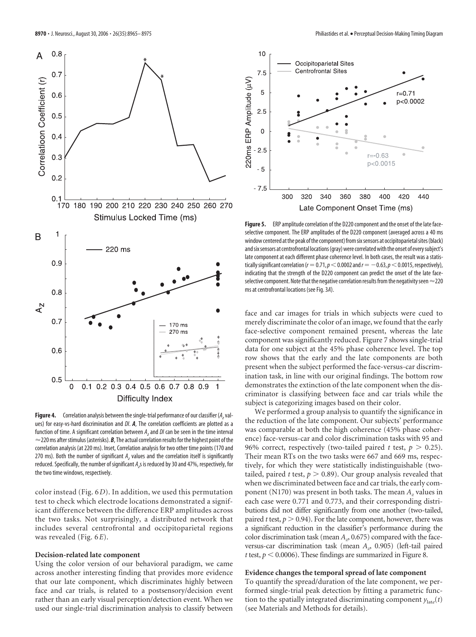

Figure 4. Correlation analysis between the single-trial performance of our classifier (A<sub>z</sub>values) for easy-vs-hard discrimination and *DI*. *A*, The correlation coefficients are plotted as a function of time. A significant correlation between  $A<sub>z</sub>$  and *DI* can be seen in the time interval  $\approx$  220 ms after stimulus (asterisks). **B**, The actual correlation results for the highest point of the correlation analysis (at 220 ms). Inset, Correlation analysis for two other time points (170 and 270 ms). Both the number of significant A<sub>z</sub> values and the correlation itself is significantly reduced. Specifically, the number of significant  $A_z$ s is reduced by 30 and 47%, respectively, for the two time windows, respectively.

color instead (Fig. 6*D*). In addition, we used this permutation test to check which electrode locations demonstrated a significant difference between the difference ERP amplitudes across the two tasks. Not surprisingly, a distributed network that includes several centrofrontal and occipitoparietal regions was revealed (Fig. 6*E*).

## **Decision-related late component**

Using the color version of our behavioral paradigm, we came across another interesting finding that provides more evidence that our late component, which discriminates highly between face and car trials, is related to a postsensory/decision event rather than an early visual perception/detection event. When we used our single-trial discrimination analysis to classify between



**Figure 5.** ERP amplitude correlation of the D220 component and the onset of the late faceselective component. The ERP amplitudes of the D220 component (averaged across a 40 ms window centered at the peak of the component) from six sensors at occipitoparietal sites (black) and six sensors at centrofrontal locations (gray) were correlated with the onset of every subject's late component at each different phase coherence level. In both cases, the result was a statistically significant correlation ( $r=0.71$ ,  $p<0.0002$  and  $r=-0.63$ ,  $p<0.0015$ , respectively), indicating that the strength of the D220 component can predict the onset of the late faceselective component. Note that the negative correlation results from the negativity seen  $\approx$  220 ms at centrofrontal locations (see Fig. 3*A*).

face and car images for trials in which subjects were cued to merely discriminate the color of an image, we found that the early face-selective component remained present, whereas the late component was significantly reduced. Figure 7 shows single-trial data for one subject at the 45% phase coherence level. The top row shows that the early and the late components are both present when the subject performed the face-versus-car discrimination task, in line with our original findings. The bottom row demonstrates the extinction of the late component when the discriminator is classifying between face and car trials while the subject is categorizing images based on their color.

We performed a group analysis to quantify the significance in the reduction of the late component. Our subjects' performance was comparable at both the high coherence (45% phase coherence) face-versus-car and color discrimination tasks with 95 and 96% correct, respectively (two-tailed paired *t* test,  $p > 0.25$ ). Their mean RTs on the two tasks were 667 and 669 ms, respectively, for which they were statistically indistinguishable (twotailed, paired *t* test,  $p > 0.89$ ). Our group analysis revealed that when we discriminated between face and car trials, the early component (N170) was present in both tasks. The mean  $A<sub>z</sub>$  values in each case were 0.771 and 0.773, and their corresponding distributions did not differ significantly from one another (two-tailed, paired *t* test,  $p > 0.94$ ). For the late component, however, there was a significant reduction in the classifier's performance during the color discrimination task (mean *Az*, 0.675) compared with the faceversus-car discrimination task (mean *Az*, 0.905) (left-tail paired *t* test,  $p < 0.0006$ ). These findings are summarized in Figure 8.

#### **Evidence changes the temporal spread of late component**

To quantify the spread/duration of the late component, we performed single-trial peak detection by fitting a parametric function to the spatially integrated discriminating component  $y_{\text{late}}(t)$ (see Materials and Methods for details).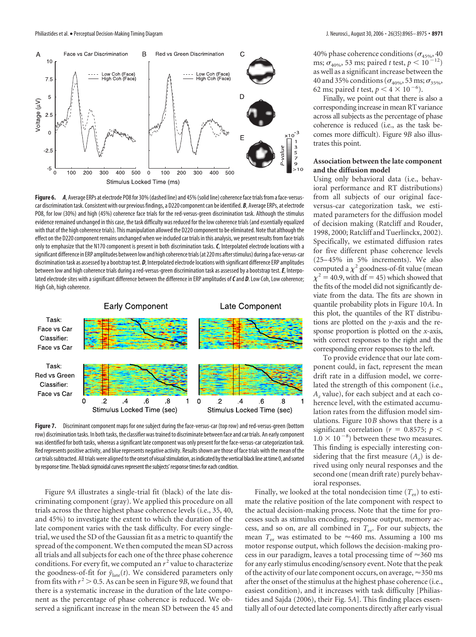

Figure 6. A, Average ERPs at electrode PO8 for 30% (dashed line) and 45% (solid line) coherence face trials from a face-versuscar discrimination task. Consistent with our previous findings, a D220 component can be identified. *B*, Average ERPs, at electrode PO8, for low (30%) and high (45%) coherence face trials for the red-versus-green discrimination task. Although the stimulus evidence remained unchanged in this case, the task difficulty was reduced for the low coherence trials (and essentially equalized with that of the high coherence trials). This manipulation allowed the D220 component to be eliminated. Note that although the effect on the D220 component remains unchanged when we included car trials in this analysis, we present results from face trials only to emphasize that the N170 component is present in both discrimination tasks.*C*, Interpolated electrode locations with a significant difference in ERP amplitudes between low and high coherencetrials(at 220ms afterstimulus) during aface-versus-car discrimination task as assessed by a bootstrap test. **D**, Interpolated electrode locations with significant difference ERP amplitudes between low and high coherence trials during a red-versus-green discrimination task as assessed by a bootstrap test.*E*, Interpolated electrode sites with a significant difference between the difference in ERP amplitudes of*C*and *D*. Low Coh, Low coherence; High Coh, high coherence.



**Figure 7.** Discriminant component maps for one subject during the face-versus-car (top row) and red-versus-green (bottom row) discrimination tasks. In both tasks, the classifier was trained to discriminate between face and car trials. An early component was identified for both tasks, whereas a significant late component was only present for the face-versus-car categorization task. Red represents positive activity, and blue represents negative activity. Resultsshown are those of face trials with the mean of the car trials subtracted. All trials were aligned to the onset of visual stimulation, as indicated by the vertical black line at time 0, and sorted by response time. The black sigmoidal curves represent the subjects' response times for each condition.

Figure 9*A* illustrates a single-trial fit (black) of the late discriminating component (gray). We applied this procedure on all trials across the three highest phase coherence levels (i.e., 35, 40, and 45%) to investigate the extent to which the duration of the late component varies with the task difficulty. For every singletrial, we used the SD of the Gaussian fit as a metric to quantify the spread of the component. We then computed the mean SD across all trials and all subjects for each one of the three phase coherence conditions. For every fit, we computed an  $r^2$  value to characterize the goodness-of-fit for  $\hat{y}_{\text{late}}(t)$ . We considered parameters only from fits with  $r^2 > 0.5$ . As can be seen in Figure 9*B*, we found that there is a systematic increase in the duration of the late component as the percentage of phase coherence is reduced. We observed a significant increase in the mean SD between the 45 and

40% phase coherence conditions ( $\sigma_{45\%}, 40$ ms;  $\sigma_{40\%}$ , 53 ms; paired *t* test,  $p < 10^{-12}$ ) as well as a significant increase between the 40 and 35% conditions ( $\sigma_{40\%}$ , 53 ms;  $\sigma_{35\%}$ , 62 ms; paired *t* test,  $p < 4 \times 10^{-6}$ ).

Finally, we point out that there is also a corresponding increase in mean RT variance across all subjects as the percentage of phase coherence is reduced (i.e., as the task becomes more difficult). Figure 9*B* also illustrates this point.

## **Association between the late component and the diffusion model**

Using only behavioral data (i.e., behavioral performance and RT distributions) from all subjects of our original faceversus-car categorization task, we estimated parameters for the diffusion model of decision making (Ratcliff and Rouder, 1998, 2000; Ratcliff and Tuerlinckx, 2002). Specifically, we estimated diffusion rates for five different phase coherence levels (25–45% in 5% increments). We also computed a  $\chi^2$  goodness-of-fit value (mean  $\chi^2$  = 40.9, with df = 45) which showed that the fits of the model did not significantly deviate from the data. The fits are shown in quantile probability plots in Figure 10*A*. In this plot, the quantiles of the RT distributions are plotted on the *y*-axis and the response proportion is plotted on the *x*-axis, with correct responses to the right and the corresponding error responses to the left.

To provide evidence that our late component could, in fact, represent the mean drift rate in a diffusion model, we correlated the strength of this component (i.e., *Az* value), for each subject and at each coherence level, with the estimated accumulation rates from the diffusion model simulations. Figure 10*B* shows that there is a significant correlation ( $r = 0.8575$ ;  $p <$  $1.0 \times 10^{-8}$ ) between these two measures. This finding is especially interesting considering that the first measure  $(A<sub>z</sub>)$  is derived using only neural responses and the second one (mean drift rate) purely behavioral responses.

Finally, we looked at the total nondecision time  $(T_{er})$  to estimate the relative position of the late component with respect to the actual decision-making process. Note that the time for processes such as stimulus encoding, response output, memory access, and so on, are all combined in  $T_{er}$ . For our subjects, the mean  $T_{\text{er}}$  was estimated to be  $\approx 460$  ms. Assuming a 100 ms motor response output, which follows the decision-making process in our paradigm, leaves a total processing time of  $\approx$  360 ms for any early stimulus encoding/sensory event. Note that the peak of the activity of our late component occurs, on average,  $\approx$  350 ms after the onset of the stimulus at the highest phase coherence (i.e., easiest condition), and it increases with task difficulty [Philiastides and Sajda (2006), their Fig. 5*A*]. This finding places essentially all of our detected late components directly after early visual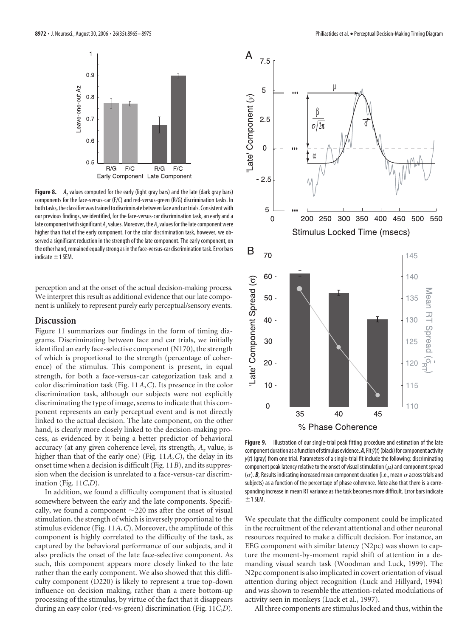

**Figure 8.** *A<sub>z</sub>* values computed for the early (light gray bars) and the late (dark gray bars) components for the face-versus-car (F/C) and red-versus-green (R/G) discrimination tasks. In both tasks, the classifier was trained to discriminate between face and car trials. Consistent with our previous findings, we identified, for the face-versus-car discrimination task, an early and a late component with significant *A<sub>z</sub>* values. Moreover, the *A<sub>z</sub>* values for the late component were higher than that of the early component. For the color discrimination task, however, we observed a significant reduction in the strength of the late component. The early component, on the other hand, remained equally strong as in the face-versus-car discrimination task. Error bars indicate  $\pm$  1 SEM.

perception and at the onset of the actual decision-making process. We interpret this result as additional evidence that our late component is unlikely to represent purely early perceptual/sensory events.

#### **Discussion**

Figure 11 summarizes our findings in the form of timing diagrams. Discriminating between face and car trials, we initially identified an early face-selective component (N170), the strength of which is proportional to the strength (percentage of coherence) of the stimulus. This component is present, in equal strength, for both a face-versus-car categorization task and a color discrimination task (Fig. 11*A*,*C*). Its presence in the color discrimination task, although our subjects were not explicitly discriminating the type of image, seems to indicate that this component represents an early perceptual event and is not directly linked to the actual decision. The late component, on the other hand, is clearly more closely linked to the decision-making process, as evidenced by it being a better predictor of behavioral accuracy (at any given coherence level, its strength, *Az* value, is higher than that of the early one) (Fig. 11*A*,*C*), the delay in its onset time when a decision is difficult (Fig. 11*B*), and its suppression when the decision is unrelated to a face-versus-car discrimination (Fig. 11*C*,*D*).

In addition, we found a difficulty component that is situated somewhere between the early and the late components. Specifically, we found a component 220 ms after the onset of visual stimulation, the strength of which is inversely proportional to the stimulus evidence (Fig. 11*A*,*C*). Moreover, the amplitude of this component is highly correlated to the difficulty of the task, as captured by the behavioral performance of our subjects, and it also predicts the onset of the late face-selective component. As such, this component appears more closely linked to the late rather than the early component. We also showed that this difficulty component (D220) is likely to represent a true top-down influence on decision making, rather than a mere bottom-up processing of the stimulus, by virtue of the fact that it disappears during an easy color (red-vs-green) discrimination (Fig. 11*C*,*D*).



Figure 9. Illustration of our single-trial peak fitting procedure and estimation of the late component duration as a function of stimulus evidence. **A**, Fit  $\hat{y}(t)$  (black) for component activity *y*(*t*) (gray) from one trial. Parameters of a single-trial fit include the following: discriminating component peak latency relative to the onset of visual stimulation ( $\mu$ ) and component spread  $(\sigma)$ . **B**, Results indicating increased mean component duration (i.e., mean  $\sigma$  across trials and subjects) as a function of the percentage of phase coherence. Note also that there is a corresponding increase in mean RT variance as the task becomes more difficult. Error bars indicate  $±1$  SEM.

We speculate that the difficulty component could be implicated in the recruitment of the relevant attentional and other neuronal resources required to make a difficult decision. For instance, an EEG component with similar latency (N2pc) was shown to capture the moment-by-moment rapid shift of attention in a demanding visual search task (Woodman and Luck, 1999). The N2pc component is also implicated in covert orientation of visual attention during object recognition (Luck and Hillyard, 1994) and was shown to resemble the attention-related modulations of activity seen in monkeys (Luck et al., 1997).

All three components are stimulus locked and thus, within the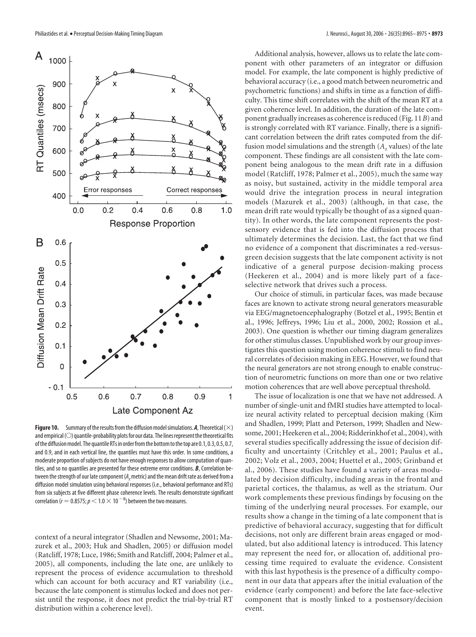

**Figure 10.** Summary of the results from the diffusion model simulations.  $A$ , Theoretical ( $\times$ ) and empirical ( $\bigcirc$ ) quantile-probability plots for our data. The lines represent the theoretical fits of the diffusion model. The quantile RTs in order from the bottom to the top are 0.1, 0.3, 0.5, 0.7, and 0.9, and in each vertical line, the quantiles must have this order. In some conditions, a moderate proportion of subjects do not have enough responses to allow computation of quantiles, and so no quantiles are presented for these extreme error conditions. *B*, Correlation between the strength of our late component ( $A_z$  metric) and the mean drift rate as derived from a diffusion model simulation using behavioral responses (i.e., behavioral performance and RTs) from six subjects at five different phase coherence levels. The results demonstrate significant correlation ( $r = 0.8575; p < 1.0 \times 10^{-8}$ ) between the two measures.

context of a neural integrator (Shadlen and Newsome, 2001; Mazurek et al., 2003; Huk and Shadlen, 2005) or diffusion model (Ratcliff, 1978; Luce, 1986; Smith and Ratcliff, 2004; Palmer et al., 2005), all components, including the late one, are unlikely to represent the process of evidence accumulation to threshold which can account for both accuracy and RT variability (i.e., because the late component is stimulus locked and does not persist until the response, it does not predict the trial-by-trial RT distribution within a coherence level).

Additional analysis, however, allows us to relate the late component with other parameters of an integrator or diffusion model. For example, the late component is highly predictive of behavioral accuracy (i.e., a good match between neurometric and psychometric functions) and shifts in time as a function of difficulty. This time shift correlates with the shift of the mean RT at a given coherence level. In addition, the duration of the late component gradually increases as coherence is reduced (Fig. 11*B*) and is strongly correlated with RT variance. Finally, there is a significant correlation between the drift rates computed from the diffusion model simulations and the strength (*Az* values) of the late component. These findings are all consistent with the late component being analogous to the mean drift rate in a diffusion model (Ratcliff, 1978; Palmer et al., 2005), much the same way as noisy, but sustained, activity in the middle temporal area would drive the integration process in neural integration models (Mazurek et al., 2003) (although, in that case, the mean drift rate would typically be thought of as a signed quantity). In other words, the late component represents the postsensory evidence that is fed into the diffusion process that ultimately determines the decision. Last, the fact that we find no evidence of a component that discriminates a red-versusgreen decision suggests that the late component activity is not indicative of a general purpose decision-making process (Heekeren et al., 2004) and is more likely part of a faceselective network that drives such a process.

Our choice of stimuli, in particular faces, was made because faces are known to activate strong neural generators measurable via EEG/magnetoencephalography (Botzel et al., 1995; Bentin et al., 1996; Jeffreys, 1996; Liu et al., 2000, 2002; Rossion et al., 2003). One question is whether our timing diagram generalizes for other stimulus classes. Unpublished work by our group investigates this question using motion coherence stimuli to find neural correlates of decision making in EEG. However, we found that the neural generators are not strong enough to enable construction of neurometric functions on more than one or two relative motion coherences that are well above perceptual threshold.

The issue of localization is one that we have not addressed. A number of single-unit and fMRI studies have attempted to localize neural activity related to perceptual decision making (Kim and Shadlen, 1999; Platt and Peterson, 1999; Shadlen and Newsome, 2001; Heekeren et al., 2004; Ridderinkhof et al., 2004), with several studies specifically addressing the issue of decision difficulty and uncertainty (Critchley et al., 2001; Paulus et al., 2002; Volz et al., 2003, 2004; Huettel et al., 2005; Grinband et al., 2006). These studies have found a variety of areas modulated by decision difficulty, including areas in the frontal and parietal cortices, the thalamus, as well as the striatum. Our work complements these previous findings by focusing on the timing of the underlying neural processes. For example, our results show a change in the timing of a late component that is predictive of behavioral accuracy, suggesting that for difficult decisions, not only are different brain areas engaged or modulated, but also additional latency is introduced. This latency may represent the need for, or allocation of, additional processing time required to evaluate the evidence. Consistent with this last hypothesis is the presence of a difficulty component in our data that appears after the initial evaluation of the evidence (early component) and before the late face-selective component that is mostly linked to a postsensory/decision event.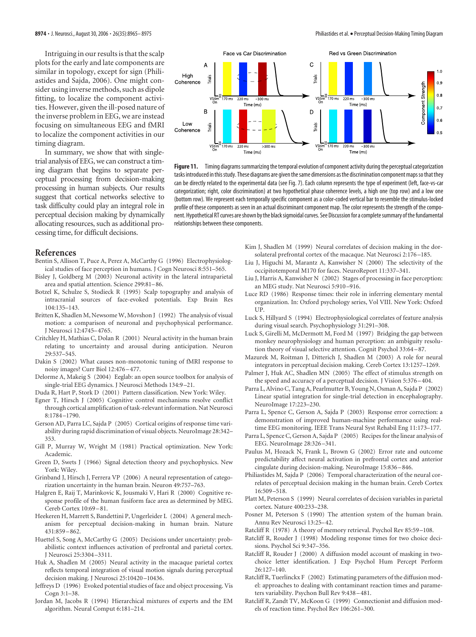Intriguing in our results is that the scalp plots for the early and late components are similar in topology, except for sign (Philiastides and Sajda, 2006). One might consider using inverse methods, such as dipole fitting, to localize the component activities. However, given the ill-posed nature of the inverse problem in EEG, we are instead focusing on simultaneous EEG and fMRI to localize the component activities in our timing diagram.

In summary, we show that with singletrial analysis of EEG, we can construct a timing diagram that begins to separate perceptual processing from decision-making processing in human subjects. Our results suggest that cortical networks selective to task difficulty could play an integral role in perceptual decision making by dynamically allocating resources, such as additional processing time, for difficult decisions.



Figure 11. Timing diagrams summarizing the temporal evolution of component activity during the perceptual categorization tasks introduced in this study. These diagrams are given the same dimensions as the discrimination component maps so that they can be directly related to the experimental data (see Fig. 7). Each column represents the type of experiment (left, face-vs-car categorization; right, color discrimination) at two hypothetical phase coherence levels, a high one (top row) and a low one (bottom row). We represent each temporally specific component as a color-coded vertical bar to resemble the stimulus-locked profile of these components as seen in an actual discriminant component map. The color represents the strength of the component. Hypothetical RT curves are shown by the black sigmoidal curves. See Discussion for a complete summary of the fundamental relationships between these components.

#### **References**

- Bentin S, Allison T, Puce A, Perez A, McCarthy G (1996) Electrophysiological studies of face perception in humans. J Cogn Neurosci 8:551–565.
- Bisley J, Goldberg M (2003) Neuronal activity in the lateral intraparietal area and spatial attention. Science 299:81–86.
- Botzel K, Schulze S, Stodieck R (1995) Scalp topography and analysis of intracranial sources of face-evoked potentials. Exp Brain Res 104:135–143.
- Britten K, Shadlen M, Newsome W, Movshon J (1992) The analysis of visual motion: a comparison of neuronal and psychophysical performance. J Neurosci 12:4745–4765.
- Critchley H, Mathias C, Dolan R (2001) Neural activity in the human brain relating to uncertainty and arousal during anticipation. Neuron 29:537–545.
- Dakin S (2002) What causes non-monotonic tuning of fMRI response to noisy images? Curr Biol 12:476 –477.
- Delorme A, Makeig S (2004) Eeglab: an open source toolbox for analysis of single-trial EEG dynamics. J Neurosci Methods 134:9 –21.
- Duda R, Hart P, Stork D (2001) Pattern classification. New York: Wiley.
- Egner T, Hirsch J (2005) Cognitive control mechanisms resolve conflict through cortical amplification of task-relevant information. Nat Neurosci 8:1784 –1790.
- Gerson AD, Parra LC, Sajda P (2005) Cortical origins of response time variability during rapid discrimination of visual objects. NeuroImage 28:342– 353.
- Gill P, Murray W, Wright M (1981) Practical optimization. New York: Academic.
- Green D, Swets J (1966) Signal detection theory and psychophysics. New York: Wiley.
- Grinband J, Hirsch J, Ferrera VP (2006) A neural representation of categorization uncertainty in the human brain. Neuron 49:757–763.
- Halgren E, Raij T, Marinkovic K, Jousmaki V, Hari R (2000) Cognitive response profile of the human fusiform face area as determined by MEG. Cereb Cortex 10:69 –81.
- Heekeren H, Marrett S, Bandettini P, Ungerleider L (2004) A general mechanism for perceptual decision-making in human brain. Nature 431:859 –862.
- Huettel S, Song A, McCarthy G (2005) Decisions under uncertainty: probabilistic context influences activation of prefrontal and parietal cortex. J Neurosci 25:3304 –3311.
- Huk A, Shadlen M (2005) Neural activity in the macaque parietal cortex reflects temporal integration of visual motion signals during perceptual decision making. J Neurosci 25:10420 –10436.
- Jeffreys D (1996) Evoked potential studies of face and object processing. Vis Cogn 3:1–38.
- Jordan M, Jacobs R (1994) Hierarchical mixtures of experts and the EM algorithm. Neural Comput 6:181–214.
- Kim J, Shadlen M (1999) Neural correlates of decision making in the dorsolateral prefrontal cortex of the macaque. Nat Neurosci 2:176 –185.
- Liu J, Higuchi M, Marantz A, Kanwisher N (2000) The selectivity of the occipitotemporal M170 for faces. NeuroReport 11:337–341.
- Liu J, Harris A, Kanwisher N (2002) Stages of processing in face perception: an MEG study. Nat Neurosci 5:910 –916.
- Luce RD (1986) Response times: their role in inferring elementary mental organization. In: Oxford psychology series, Vol VIII. New York: Oxford UP.
- Luck S, Hillyard S (1994) Electrophysiological correlates of feature analysis during visual search. Psychophysiology 31:291–308.
- Luck S, Girelli M, McDermott M, Ford M (1997) Bridging the gap between monkey neurophysiology and human perception: an ambiguity resolution theory of visual selective attention. Cognit Psychol 33:64 –87.
- Mazurek M, Roitman J, Ditterich J, Shadlen M (2003) A role for neural integrators in perceptual decision making. Cereb Cortex 13:1257–1269.
- Palmer J, Huk AC, Shadlen MN (2005) The effect of stimulus strength on the speed and accuracy of a perceptual decision. J Vision 5:376 –404.
- Parra L, Alvino C, Tang A, Pearlmutter B, Young N, Osman A, Sajda P (2002) Linear spatial integration for single-trial detection in encephalography. NeuroImage 17:223–230.
- Parra L, Spence C, Gerson A, Sajda P (2003) Response error correction: a demonstration of improved human-machine performance using realtime EEG monitoring. IEEE Trans Neural Syst Rehabil Eng 11:173–177.
- Parra L, Spence C, Gerson A, Sajda P (2005) Recipes for the linear analysis of EEG. NeuroImage 28:326 –341.
- Paulus M, Hozack N, Frank L, Brown G (2002) Error rate and outcome predictability affect neural activation in prefrontal cortex and anterior cingulate during decision-making. NeuroImage 15:836 –846.
- Philiastides M, Sajda P (2006) Temporal characterization of the neural correlates of perceptual decision making in the human brain. Cereb Cortex 16:509 –518.
- Platt M, Peterson S (1999) Neural correlates of decision variables in parietal cortex. Nature 400:233–238.
- Posner M, Peterson S (1990) The attention system of the human brain. Annu Rev Neurosci 13:25–42.
- Ratcliff R (1978) A theory of memory retrieval. Psychol Rev 85:59 –108.
- Ratcliff R, Rouder J (1998) Modeling response times for two choice decisions. Psychol Sci 9:347–356.
- Ratcliff R, Rouder J (2000) A diffusion model account of masking in twochoice letter identification. J Exp Psychol Hum Percept Perform 26:127–140.
- Ratcliff R, Tuerlinckx F (2002) Estimating parameters of the diffusion model: approaches to dealing with contaminant reaction times and parameters variability. Psychon Bull Rev 9:438 –481.
- Ratcliff R, Zandt TV, McKoon G (1999) Connectionist and diffusion models of reaction time. Psychol Rev 106:261–300.